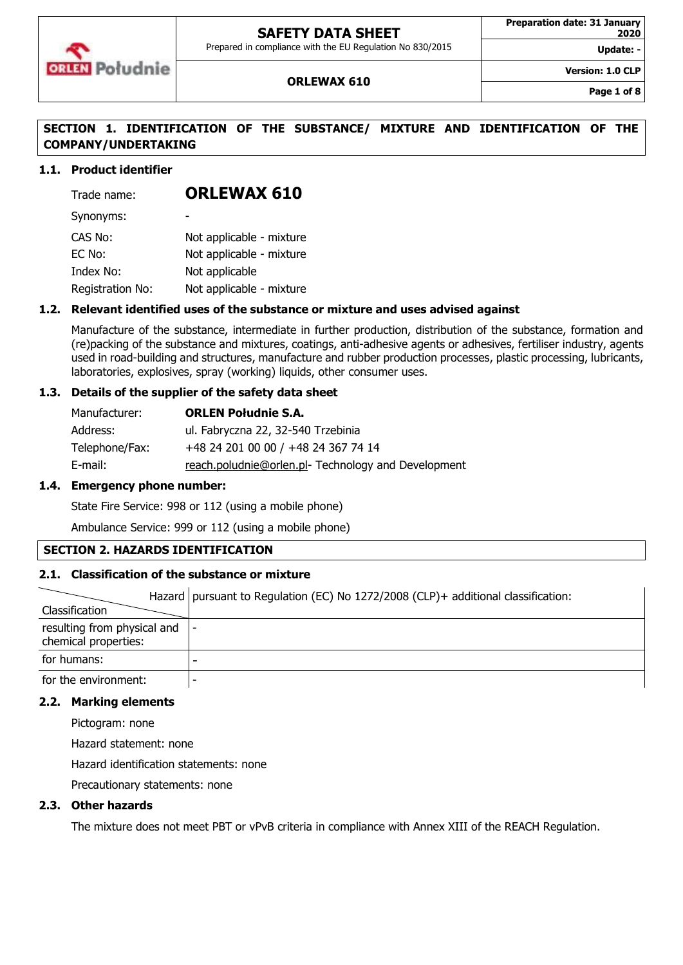

Prepared in compliance with the EU Regulation No 830/2015

Update:

**Version: 1.0 CLP**

### **ORLEWAX 610**

**Page 1 of 8**

### **SECTION 1. IDENTIFICATION OF THE SUBSTANCE/ MIXTURE AND IDENTIFICATION OF THE COMPANY/UNDERTAKING**

### **1.1. Product identifier**

| Trade name:      | <b>ORLEWAX 610</b>       |
|------------------|--------------------------|
| Synonyms:        |                          |
| CAS No:          | Not applicable - mixture |
| EC No:           | Not applicable - mixture |
| Index No:        | Not applicable           |
| Registration No: | Not applicable - mixture |

### **1.2. Relevant identified uses of the substance or mixture and uses advised against**

Manufacture of the substance, intermediate in further production, distribution of the substance, formation and (re)packing of the substance and mixtures, coatings, anti-adhesive agents or adhesives, fertiliser industry, agents used in road-building and structures, manufacture and rubber production processes, plastic processing, lubricants, laboratories, explosives, spray (working) liquids, other consumer uses.

### **1.3. Details of the supplier of the safety data sheet**

| Manufacturer:  | <b>ORLEN Południe S.A.</b>                         |
|----------------|----------------------------------------------------|
| Address:       | ul. Fabryczna 22, 32-540 Trzebinia                 |
| Telephone/Fax: | +48 24 201 00 00 / +48 24 367 74 14                |
| E-mail:        | reach.poludnie@orlen.pl-Technology and Development |

### **1.4. Emergency phone number:**

State Fire Service: 998 or 112 (using a mobile phone)

Ambulance Service: 999 or 112 (using a mobile phone)

### **SECTION 2. HAZARDS IDENTIFICATION**

### **2.1. Classification of the substance or mixture**

| Classification                                                | Hazard   pursuant to Regulation (EC) No 1272/2008 (CLP)+ additional classification: |
|---------------------------------------------------------------|-------------------------------------------------------------------------------------|
|                                                               |                                                                                     |
| resulting from physical and $\vert$ -<br>chemical properties: |                                                                                     |
| for humans:                                                   |                                                                                     |
| for the environment:                                          |                                                                                     |

#### **2.2. Marking elements**

Pictogram: none

Hazard statement: none

Hazard identification statements: none

Precautionary statements: none

### **2.3. Other hazards**

The mixture does not meet PBT or vPvB criteria in compliance with Annex XIII of the REACH Regulation.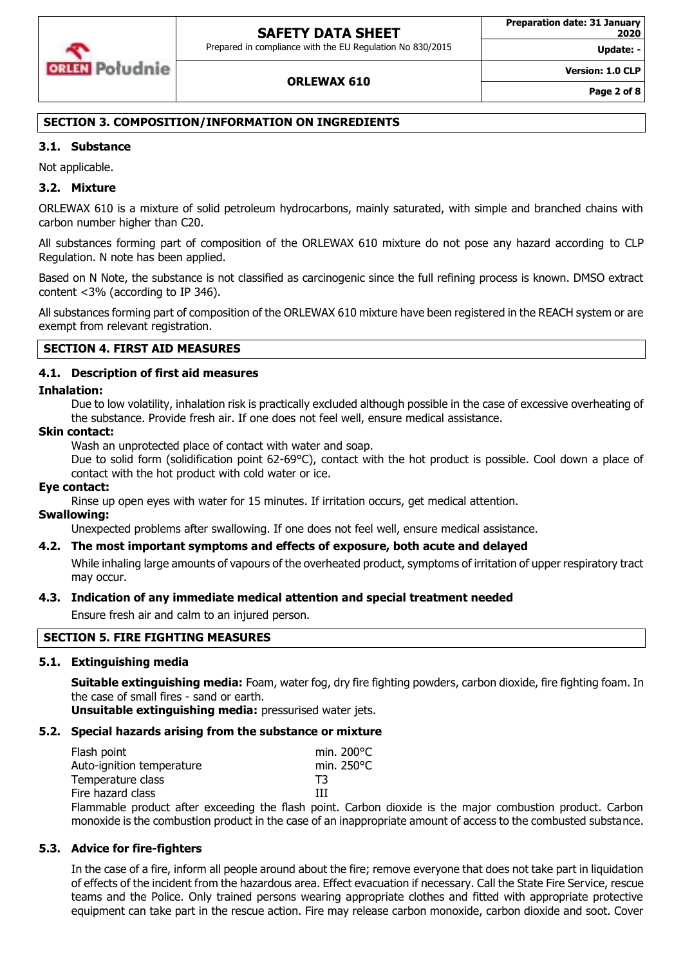

### **ORLEWAX 610**

**Version: 1.0 CLP**

**Update: -**

### **SECTION 3. COMPOSITION/INFORMATION ON INGREDIENTS**

### **3.1. Substance**

Not applicable.

### **3.2. Mixture**

ORLEWAX 610 is a mixture of solid petroleum hydrocarbons, mainly saturated, with simple and branched chains with carbon number higher than C20.

All substances forming part of composition of the ORLEWAX 610 mixture do not pose any hazard according to CLP Regulation. N note has been applied.

Based on N Note, the substance is not classified as carcinogenic since the full refining process is known. DMSO extract content <3% (according to IP 346).

All substances forming part of composition of the ORLEWAX 610 mixture have been registered in the REACH system or are exempt from relevant registration.

### **SECTION 4. FIRST AID MEASURES**

### **4.1. Description of first aid measures**

### **Inhalation:**

Due to low volatility, inhalation risk is practically excluded although possible in the case of excessive overheating of the substance. Provide fresh air. If one does not feel well, ensure medical assistance.

#### **Skin contact:**

Wash an unprotected place of contact with water and soap.

Due to solid form (solidification point 62-69°C), contact with the hot product is possible. Cool down a place of contact with the hot product with cold water or ice.

### **Eye contact:**

Rinse up open eyes with water for 15 minutes. If irritation occurs, get medical attention.

### **Swallowing:**

Unexpected problems after swallowing. If one does not feel well, ensure medical assistance.

### **4.2. The most important symptoms and effects of exposure, both acute and delayed**

While inhaling large amounts of vapours of the overheated product, symptoms of irritation of upper respiratory tract may occur.

### **4.3. Indication of any immediate medical attention and special treatment needed**

Ensure fresh air and calm to an injured person.

### **SECTION 5. FIRE FIGHTING MEASURES**

### **5.1. Extinguishing media**

**Suitable extinguishing media:** Foam, water fog, dry fire fighting powders, carbon dioxide, fire fighting foam. In the case of small fires - sand or earth.

**Unsuitable extinguishing media:** pressurised water jets.

### **5.2. Special hazards arising from the substance or mixture**

| Flash point               |  | min. $200^{\circ}$ C |
|---------------------------|--|----------------------|
| Auto-ignition temperature |  | min. $250^{\circ}$ C |
| Temperature class         |  | T3                   |
| Fire hazard class         |  | ш                    |
|                           |  | .                    |

Flammable product after exceeding the flash point. Carbon dioxide is the major combustion product. Carbon monoxide is the combustion product in the case of an inappropriate amount of access to the combusted substance.

### **5.3. Advice for fire-fighters**

In the case of a fire, inform all people around about the fire; remove everyone that does not take part in liquidation of effects of the incident from the hazardous area. Effect evacuation if necessary. Call the State Fire Service, rescue teams and the Police. Only trained persons wearing appropriate clothes and fitted with appropriate protective equipment can take part in the rescue action. Fire may release carbon monoxide, carbon dioxide and soot. Cover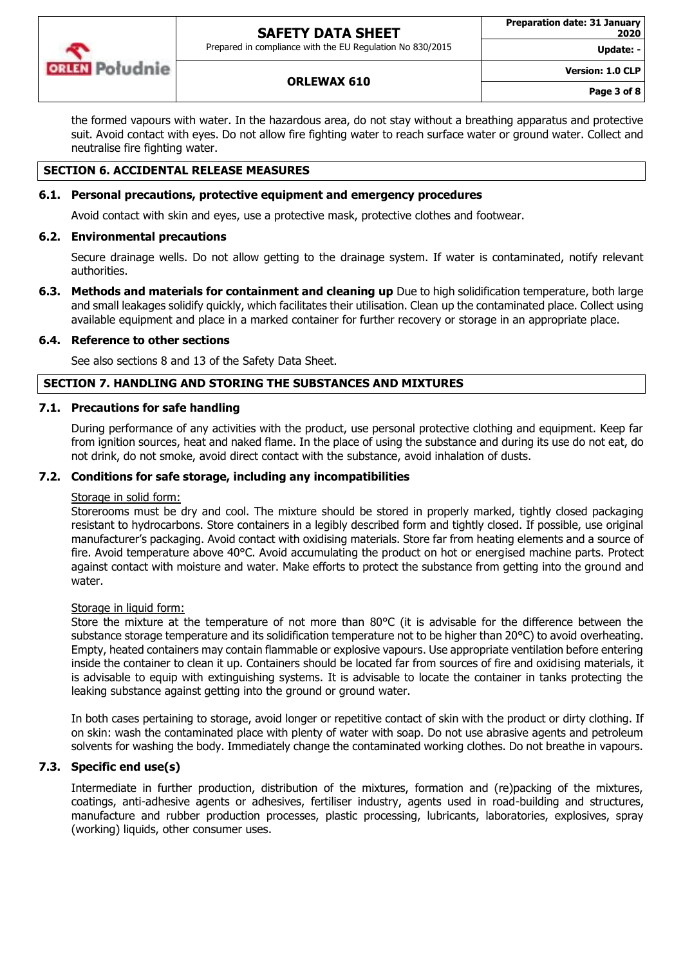

Prepared in compliance with the EU Regulation No 830/2015

**Update: -**

**Version: 1.0 CLP**

### **ORLEWAX 610**

the formed vapours with water. In the hazardous area, do not stay without a breathing apparatus and protective suit. Avoid contact with eyes. Do not allow fire fighting water to reach surface water or ground water. Collect and neutralise fire fighting water.

### **SECTION 6. ACCIDENTAL RELEASE MEASURES**

### **6.1. Personal precautions, protective equipment and emergency procedures**

Avoid contact with skin and eyes, use a protective mask, protective clothes and footwear.

### **6.2. Environmental precautions**

Secure drainage wells. Do not allow getting to the drainage system. If water is contaminated, notify relevant authorities.

**6.3. Methods and materials for containment and cleaning up** Due to high solidification temperature, both large and small leakages solidify quickly, which facilitates their utilisation. Clean up the contaminated place. Collect using available equipment and place in a marked container for further recovery or storage in an appropriate place.

#### **6.4. Reference to other sections**

See also sections 8 and 13 of the Safety Data Sheet.

### **SECTION 7. HANDLING AND STORING THE SUBSTANCES AND MIXTURES**

#### **7.1. Precautions for safe handling**

During performance of any activities with the product, use personal protective clothing and equipment. Keep far from ignition sources, heat and naked flame. In the place of using the substance and during its use do not eat, do not drink, do not smoke, avoid direct contact with the substance, avoid inhalation of dusts.

### **7.2. Conditions for safe storage, including any incompatibilities**

### Storage in solid form:

Storerooms must be dry and cool. The mixture should be stored in properly marked, tightly closed packaging resistant to hydrocarbons. Store containers in a legibly described form and tightly closed. If possible, use original manufacturer's packaging. Avoid contact with oxidising materials. Store far from heating elements and a source of fire. Avoid temperature above 40°C. Avoid accumulating the product on hot or energised machine parts. Protect against contact with moisture and water. Make efforts to protect the substance from getting into the ground and water.

### Storage in liquid form:

Store the mixture at the temperature of not more than 80°C (it is advisable for the difference between the substance storage temperature and its solidification temperature not to be higher than 20°C) to avoid overheating. Empty, heated containers may contain flammable or explosive vapours. Use appropriate ventilation before entering inside the container to clean it up. Containers should be located far from sources of fire and oxidising materials, it is advisable to equip with extinguishing systems. It is advisable to locate the container in tanks protecting the leaking substance against getting into the ground or ground water.

In both cases pertaining to storage, avoid longer or repetitive contact of skin with the product or dirty clothing. If on skin: wash the contaminated place with plenty of water with soap. Do not use abrasive agents and petroleum solvents for washing the body. Immediately change the contaminated working clothes. Do not breathe in vapours.

### **7.3. Specific end use(s)**

Intermediate in further production, distribution of the mixtures, formation and (re)packing of the mixtures, coatings, anti-adhesive agents or adhesives, fertiliser industry, agents used in road-building and structures, manufacture and rubber production processes, plastic processing, lubricants, laboratories, explosives, spray (working) liquids, other consumer uses.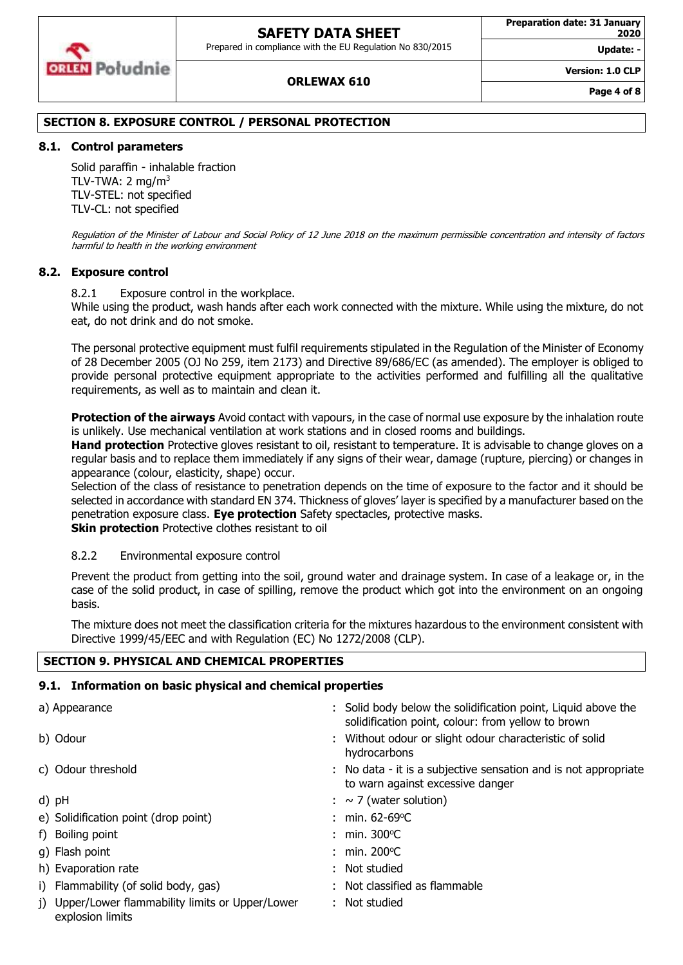

#### **Preparation date: 31 January 2020**

**Update: -**

**Version: 1.0 CLP**

# **ORLEWAX 610**

# **SECTION 8. EXPOSURE CONTROL / PERSONAL PROTECTION**

# **8.1. Control parameters**

Solid paraffin - inhalable fraction TLV-TWA:  $2 \text{ mg/m}^3$ TLV-STEL: not specified TLV-CL: not specified

Regulation of the Minister of Labour and Social Policy of 12 June 2018 on the maximum permissible concentration and intensity of factors harmful to health in the working environment

### **8.2. Exposure control**

8.2.1 Exposure control in the workplace.

While using the product, wash hands after each work connected with the mixture. While using the mixture, do not eat, do not drink and do not smoke.

The personal protective equipment must fulfil requirements stipulated in the Regulation of the Minister of Economy of 28 December 2005 (OJ No 259, item 2173) and Directive 89/686/EC (as amended). The employer is obliged to provide personal protective equipment appropriate to the activities performed and fulfilling all the qualitative requirements, as well as to maintain and clean it.

**Protection of the airways** Avoid contact with vapours, in the case of normal use exposure by the inhalation route is unlikely. Use mechanical ventilation at work stations and in closed rooms and buildings.

**Hand protection** Protective gloves resistant to oil, resistant to temperature. It is advisable to change gloves on a regular basis and to replace them immediately if any signs of their wear, damage (rupture, piercing) or changes in appearance (colour, elasticity, shape) occur.

Selection of the class of resistance to penetration depends on the time of exposure to the factor and it should be selected in accordance with standard EN 374. Thickness of gloves' layer is specified by a manufacturer based on the penetration exposure class. **Eye protection** Safety spectacles, protective masks. **Skin protection** Protective clothes resistant to oil

### 8.2.2 Environmental exposure control

Prevent the product from getting into the soil, ground water and drainage system. In case of a leakage or, in the case of the solid product, in case of spilling, remove the product which got into the environment on an ongoing basis.

The mixture does not meet the classification criteria for the mixtures hazardous to the environment consistent with Directive 1999/45/EEC and with Regulation (EC) No 1272/2008 (CLP).

### **SECTION 9. PHYSICAL AND CHEMICAL PROPERTIES**

# **9.1. Information on basic physical and chemical properties**

| a) Appearance                                                         | : Solid body below the solidification point, Liquid above the<br>solidification point, colour: from yellow to brown |
|-----------------------------------------------------------------------|---------------------------------------------------------------------------------------------------------------------|
| b) Odour                                                              | : Without odour or slight odour characteristic of solid<br>hydrocarbons                                             |
| c) Odour threshold                                                    | : No data - it is a subjective sensation and is not appropriate<br>to warn against excessive danger                 |
| d) pH                                                                 | $: \sim$ 7 (water solution)                                                                                         |
| e) Solidification point (drop point)                                  | : min. $62-69^{\circ}$ C                                                                                            |
| f) Boiling point                                                      | : min. $300^{\circ}$ C                                                                                              |
| g) Flash point                                                        | : min. $200^{\circ}$ C                                                                                              |
| h) Evaporation rate                                                   | : Not studied                                                                                                       |
| i) Flammability (of solid body, gas)                                  | : Not classified as flammable                                                                                       |
| i) Upper/Lower flammability limits or Upper/Lower<br>explosion limits | Not studied                                                                                                         |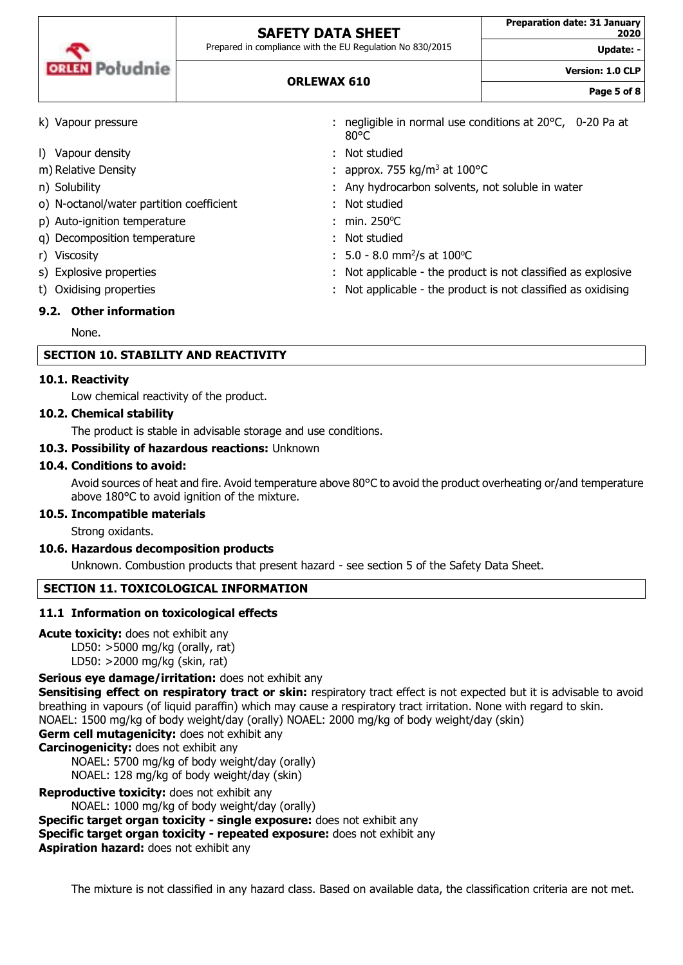| <b>ORLEN</b> Południe |
|-----------------------|
|                       |

Prepared in compliance with the EU Regulation No 830/2015

Update:

**Version: 1.0 CLP**

| <b>ORLEWAX 610</b> |  |
|--------------------|--|
|--------------------|--|

**Page 5 of 8**

| k) Vapour pressure                       | : negligible in normal use conditions at $20^{\circ}$ C, 0-20 Pa at<br>$80^{\circ}$ C |
|------------------------------------------|---------------------------------------------------------------------------------------|
| I) Vapour density                        | : Not studied                                                                         |
| m) Relative Density                      | : approx. 755 kg/m <sup>3</sup> at 100 °C                                             |
| n) Solubility                            | : Any hydrocarbon solvents, not soluble in water                                      |
| o) N-octanol/water partition coefficient | : Not studied                                                                         |
| p) Auto-ignition temperature             | : min. $250^{\circ}$ C                                                                |
| q) Decomposition temperature             | : Not studied                                                                         |
| r) Viscosity                             | $: 5.0 - 8.0$ mm <sup>2</sup> /s at 100 °C                                            |
| s) Explosive properties                  | : Not applicable - the product is not classified as explosive                         |
| t) Oxidising properties                  | : Not applicable - the product is not classified as oxidising                         |
| 9.2. Other information                   |                                                                                       |

None.

### **SECTION 10. STABILITY AND REACTIVITY**

### **10.1. Reactivity**

Low chemical reactivity of the product.

### **10.2. Chemical stability**

The product is stable in advisable storage and use conditions.

### **10.3. Possibility of hazardous reactions:** Unknown

### **10.4. Conditions to avoid:**

Avoid sources of heat and fire. Avoid temperature above 80°C to avoid the product overheating or/and temperature above 180°C to avoid ignition of the mixture.

### **10.5. Incompatible materials**

Strong oxidants.

### **10.6. Hazardous decomposition products**

Unknown. Combustion products that present hazard - see section 5 of the Safety Data Sheet.

### **SECTION 11. TOXICOLOGICAL INFORMATION**

### **11.1 Information on toxicological effects**

#### **Acute toxicity:** does not exhibit any

LD50: >5000 mg/kg (orally, rat) LD50: >2000 mg/kg (skin, rat)

### **Serious eye damage/irritation:** does not exhibit any

**Sensitising effect on respiratory tract or skin:** respiratory tract effect is not expected but it is advisable to avoid breathing in vapours (of liquid paraffin) which may cause a respiratory tract irritation. None with regard to skin. NOAEL: 1500 mg/kg of body weight/day (orally) NOAEL: 2000 mg/kg of body weight/day (skin)

**Germ cell mutagenicity:** does not exhibit any

**Carcinogenicity:** does not exhibit any

NOAEL: 5700 mg/kg of body weight/day (orally) NOAEL: 128 mg/kg of body weight/day (skin)

**Reproductive toxicity:** does not exhibit any

NOAEL: 1000 mg/kg of body weight/day (orally)

**Specific target organ toxicity - single exposure:** does not exhibit any

**Specific target organ toxicity - repeated exposure:** does not exhibit any

**Aspiration hazard:** does not exhibit any

The mixture is not classified in any hazard class. Based on available data, the classification criteria are not met.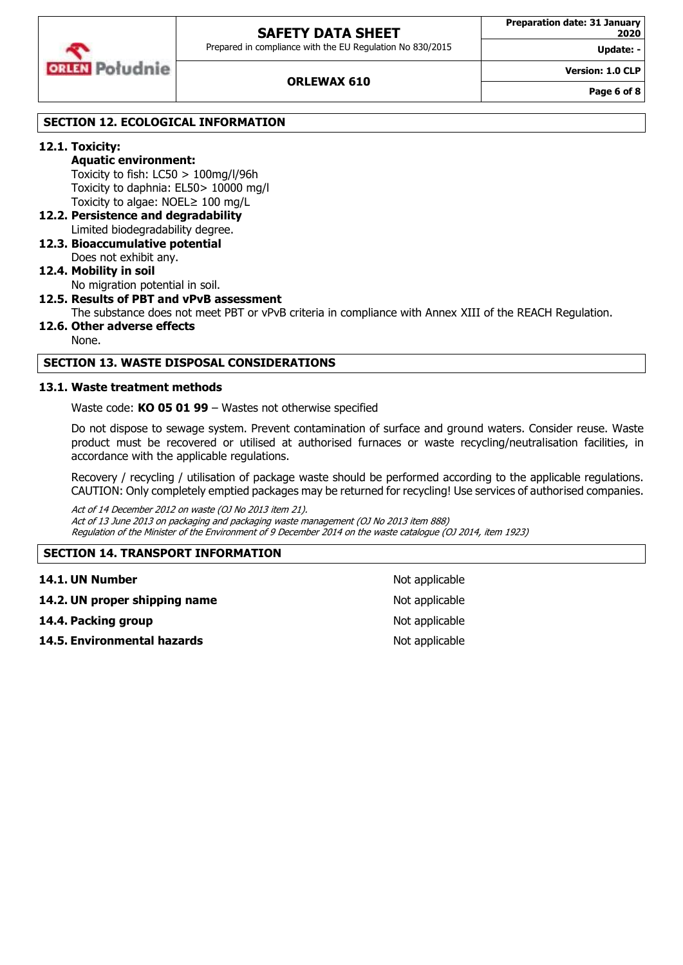

### **ORLEWAX 610**

**Version: 1.0 CLP**

**Update: -**

**Page 6 of 8**

### **SECTION 12. ECOLOGICAL INFORMATION**

### **12.1. Toxicity:**

**Aquatic environment:** Toxicity to fish: LC50 > 100mg/l/96h Toxicity to daphnia: EL50> 10000 mg/l Toxicity to algae: NOEL≥ 100 mg/L

- **12.2. Persistence and degradability** Limited biodegradability degree.
- **12.3. Bioaccumulative potential** Does not exhibit any.

### **12.4. Mobility in soil** No migration potential in soil.

#### **12.5. Results of PBT and vPvB assessment**

The substance does not meet PBT or vPvB criteria in compliance with Annex XIII of the REACH Regulation.

**12.6. Other adverse effects**

None.

### **SECTION 13. WASTE DISPOSAL CONSIDERATIONS**

#### **13.1. Waste treatment methods**

Waste code: **KO 05 01 99** – Wastes not otherwise specified

Do not dispose to sewage system. Prevent contamination of surface and ground waters. Consider reuse. Waste product must be recovered or utilised at authorised furnaces or waste recycling/neutralisation facilities, in accordance with the applicable regulations.

Recovery / recycling / utilisation of package waste should be performed according to the applicable regulations. CAUTION: Only completely emptied packages may be returned for recycling! Use services of authorised companies.

Act of 14 December 2012 on waste (OJ No 2013 item 21). Act of 13 June 2013 on packaging and packaging waste management (OJ No 2013 item 888) Regulation of the Minister of the Environment of 9 December 2014 on the waste catalogue (OJ 2014, item 1923)

### **SECTION 14. TRANSPORT INFORMATION**

| 14.1. UN Number               | Not applicable |
|-------------------------------|----------------|
| 14.2. UN proper shipping name | Not applicable |
| 14.4. Packing group           | Not applicable |
| 14.5. Environmental hazards   | Not applicable |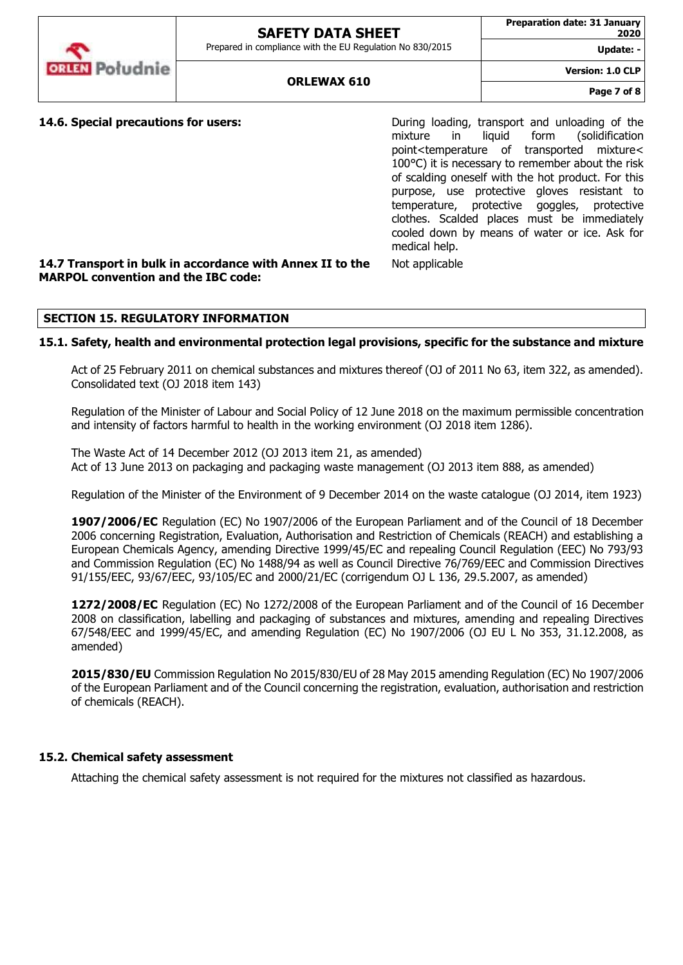**Update: -**

**Version: 1.0 CLP**



**14.6. Special precautions for users: Example 20 During loading, transport and unloading of the** mixture in liquid form (solidification point<temperature of transported mixture< 100°C) it is necessary to remember about the risk of scalding oneself with the hot product. For this purpose, use protective gloves resistant to temperature, protective goggles, protective clothes. Scalded places must be immediately cooled down by means of water or ice. Ask for medical help.

### **14.7 Transport in bulk in accordance with Annex II to the MARPOL convention and the IBC code:**

### **SECTION 15. REGULATORY INFORMATION**

### **15.1. Safety, health and environmental protection legal provisions, specific for the substance and mixture**

Act of 25 February 2011 on chemical substances and mixtures thereof (OJ of 2011 No 63, item 322, as amended). Consolidated text (OJ 2018 item 143)

Not applicable

Regulation of the Minister of Labour and Social Policy of 12 June 2018 on the maximum permissible concentration and intensity of factors harmful to health in the working environment (OJ 2018 item 1286).

The Waste Act of 14 December 2012 (OJ 2013 item 21, as amended) Act of 13 June 2013 on packaging and packaging waste management (OJ 2013 item 888, as amended)

Regulation of the Minister of the Environment of 9 December 2014 on the waste catalogue (OJ 2014, item 1923)

**1907/2006/EC** Regulation (EC) No 1907/2006 of the European Parliament and of the Council of 18 December 2006 concerning Registration, Evaluation, Authorisation and Restriction of Chemicals (REACH) and establishing a European Chemicals Agency, amending Directive 1999/45/EC and repealing Council Regulation (EEC) No 793/93 and Commission Regulation (EC) No 1488/94 as well as Council Directive 76/769/EEC and Commission Directives 91/155/EEC, 93/67/EEC, 93/105/EC and 2000/21/EC (corrigendum OJ L 136, 29.5.2007, as amended)

**1272/2008/EC** Regulation (EC) No 1272/2008 of the European Parliament and of the Council of 16 December 2008 on classification, labelling and packaging of substances and mixtures, amending and repealing Directives 67/548/EEC and 1999/45/EC, and amending Regulation (EC) No 1907/2006 (OJ EU L No 353, 31.12.2008, as amended)

**2015/830/EU** Commission Regulation No 2015/830/EU of 28 May 2015 amending Regulation (EC) No 1907/2006 of the European Parliament and of the Council concerning the registration, evaluation, authorisation and restriction of chemicals (REACH).

### **15.2. Chemical safety assessment**

Attaching the chemical safety assessment is not required for the mixtures not classified as hazardous.